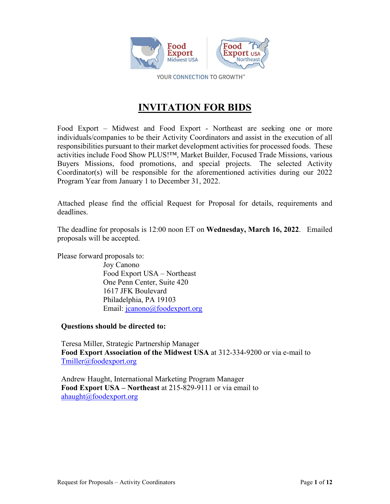

YOUR CONNECTION TO GROWTH™

# **INVITATION FOR BIDS**

Food Export – Midwest and Food Export - Northeast are seeking one or more individuals/companies to be their Activity Coordinators and assist in the execution of all responsibilities pursuant to their market development activities for processed foods. These activities include Food Show PLUS!™, Market Builder, Focused Trade Missions, various Buyers Missions, food promotions, and special projects. The selected Activity Coordinator(s) will be responsible for the aforementioned activities during our 2022 Program Year from January 1 to December 31, 2022.

Attached please find the official Request for Proposal for details, requirements and deadlines.

The deadline for proposals is 12:00 noon ET on **Wednesday, March 16, 2022**. Emailed proposals will be accepted.

Please forward proposals to:

 Joy Canono Food Export USA – Northeast One Penn Center, Suite 420 1617 JFK Boulevard Philadelphia, PA 19103 Email: [jcanono@foodexport.org](mailto:jcanono@foodexport.org)

**Questions should be directed to:**

Teresa Miller, Strategic Partnership Manager **Food Export Association of the Midwest USA** at 312-334-9200 or via e-mail to [Tmiller@foodexport.org](mailto:Tmiller@foodexport.org)

Andrew Haught, International Marketing Program Manager **Food Export USA – Northeast** at 215-829-9111 or via email to [ahaught@foodexport.org](mailto:ahaught@foodexport.org)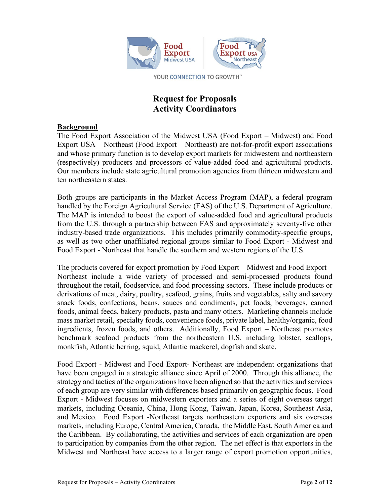

YOUR CONNECTION TO GROWTH"

# **Request for Proposals Activity Coordinators**

#### **Background**

The Food Export Association of the Midwest USA (Food Export – Midwest) and Food Export USA – Northeast (Food Export – Northeast) are not-for-profit export associations and whose primary function is to develop export markets for midwestern and northeastern (respectively) producers and processors of value-added food and agricultural products. Our members include state agricultural promotion agencies from thirteen midwestern and ten northeastern states.

Both groups are participants in the Market Access Program (MAP), a federal program handled by the Foreign Agricultural Service (FAS) of the U.S. Department of Agriculture. The MAP is intended to boost the export of value-added food and agricultural products from the U.S. through a partnership between FAS and approximately seventy-five other industry-based trade organizations. This includes primarily commodity-specific groups, as well as two other unaffiliated regional groups similar to Food Export - Midwest and Food Export - Northeast that handle the southern and western regions of the U.S.

The products covered for export promotion by Food Export – Midwest and Food Export – Northeast include a wide variety of processed and semi-processed products found throughout the retail, foodservice, and food processing sectors. These include products or derivations of meat, dairy, poultry, seafood, grains, fruits and vegetables, salty and savory snack foods, confections, beans, sauces and condiments, pet foods, beverages, canned foods, animal feeds, bakery products, pasta and many others. Marketing channels include mass market retail, specialty foods, convenience foods, private label, healthy/organic, food ingredients, frozen foods, and others. Additionally, Food Export – Northeast promotes benchmark seafood products from the northeastern U.S. including lobster, scallops, monkfish, Atlantic herring, squid, Atlantic mackerel, dogfish and skate.

Food Export - Midwest and Food Export- Northeast are independent organizations that have been engaged in a strategic alliance since April of 2000. Through this alliance, the strategy and tactics of the organizations have been aligned so that the activities and services of each group are very similar with differences based primarily on geographic focus. Food Export - Midwest focuses on midwestern exporters and a series of eight overseas target markets, including Oceania, China, Hong Kong, Taiwan, Japan, Korea, Southeast Asia, and Mexico. Food Export -Northeast targets northeastern exporters and six overseas markets, including Europe, Central America, Canada, the Middle East, South America and the Caribbean. By collaborating, the activities and services of each organization are open to participation by companies from the other region. The net effect is that exporters in the Midwest and Northeast have access to a larger range of export promotion opportunities,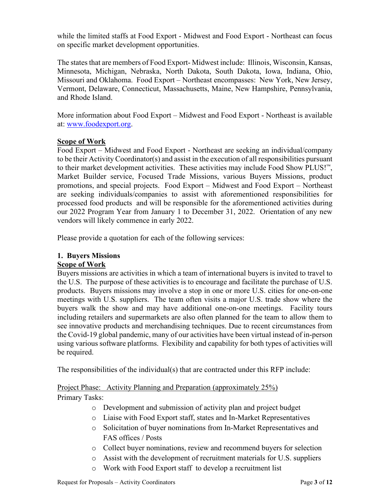while the limited staffs at Food Export - Midwest and Food Export - Northeast can focus on specific market development opportunities.

The states that are members of Food Export- Midwest include: Illinois, Wisconsin, Kansas, Minnesota, Michigan, Nebraska, North Dakota, South Dakota, Iowa, Indiana, Ohio, Missouri and Oklahoma. Food Export – Northeast encompasses: New York, New Jersey, Vermont, Delaware, Connecticut, Massachusetts, Maine, New Hampshire, Pennsylvania, and Rhode Island.

More information about Food Export – Midwest and Food Export - Northeast is available at: [www.foodexport.org.](http://www.foodexport.org/)

#### **Scope of Work**

Food Export – Midwest and Food Export - Northeast are seeking an individual/company to be their Activity Coordinator(s) and assist in the execution of all responsibilities pursuant to their market development activities. These activities may include Food Show PLUS!<sup>™</sup>, Market Builder service, Focused Trade Missions, various Buyers Missions, product promotions, and special projects. Food Export – Midwest and Food Export – Northeast are seeking individuals/companies to assist with aforementioned responsibilities for processed food products and will be responsible for the aforementioned activities during our 2022 Program Year from January 1 to December 31, 2022. Orientation of any new vendors will likely commence in early 2022.

Please provide a quotation for each of the following services:

#### **1. Buyers Missions Scope of Work**

Buyers missions are activities in which a team of international buyers is invited to travel to the U.S. The purpose of these activities is to encourage and facilitate the purchase of U.S. products. Buyers missions may involve a stop in one or more U.S. cities for one-on-one meetings with U.S. suppliers. The team often visits a major U.S. trade show where the buyers walk the show and may have additional one-on-one meetings. Facility tours including retailers and supermarkets are also often planned for the team to allow them to see innovative products and merchandising techniques. Due to recent circumstances from the Covid-19 global pandemic, many of our activities have been virtual instead of in-person using various software platforms. Flexibility and capability for both types of activities will be required.

The responsibilities of the individual(s) that are contracted under this RFP include:

Project Phase: Activity Planning and Preparation (approximately 25%) Primary Tasks:

- o Development and submission of activity plan and project budget
- o Liaise with Food Export staff, states and In-Market Representatives
- o Solicitation of buyer nominations from In-Market Representatives and FAS offices / Posts
- o Collect buyer nominations, review and recommend buyers for selection
- o Assist with the development of recruitment materials for U.S. suppliers
- o Work with Food Export staff to develop a recruitment list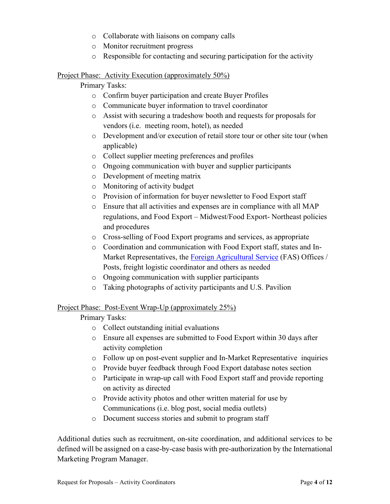- o Collaborate with liaisons on company calls
- o Monitor recruitment progress
- o Responsible for contacting and securing participation for the activity

#### Project Phase: Activity Execution (approximately 50%)

Primary Tasks:

- o Confirm buyer participation and create Buyer Profiles
- o Communicate buyer information to travel coordinator
- o Assist with securing a tradeshow booth and requests for proposals for vendors (i.e. meeting room, hotel), as needed
- o Development and/or execution of retail store tour or other site tour (when applicable)
- o Collect supplier meeting preferences and profiles
- o Ongoing communication with buyer and supplier participants
- o Development of meeting matrix
- o Monitoring of activity budget
- o Provision of information for buyer newsletter to Food Export staff
- o Ensure that all activities and expenses are in compliance with all MAP regulations, and Food Export – Midwest/Food Export- Northeast policies and procedures
- o Cross-selling of Food Export programs and services, as appropriate
- o Coordination and communication with Food Export staff, states and In-Market Representatives, the [Foreign Agricultural Service](http://www.fas.usda.gov/) (FAS) Offices / Posts, freight logistic coordinator and others as needed
- o Ongoing communication with supplier participants
- o Taking photographs of activity participants and U.S. Pavilion

# Project Phase: Post-Event Wrap-Up (approximately 25%)

# Primary Tasks:

- o Collect outstanding initial evaluations
- o Ensure all expenses are submitted to Food Export within 30 days after activity completion
- o Follow up on post-event supplier and In-Market Representative inquiries
- o Provide buyer feedback through Food Export database notes section
- o Participate in wrap-up call with Food Export staff and provide reporting on activity as directed
- o Provide activity photos and other written material for use by Communications (i.e. blog post, social media outlets)
- o Document success stories and submit to program staff

Additional duties such as recruitment, on-site coordination, and additional services to be defined will be assigned on a case-by-case basis with pre-authorization by the International Marketing Program Manager.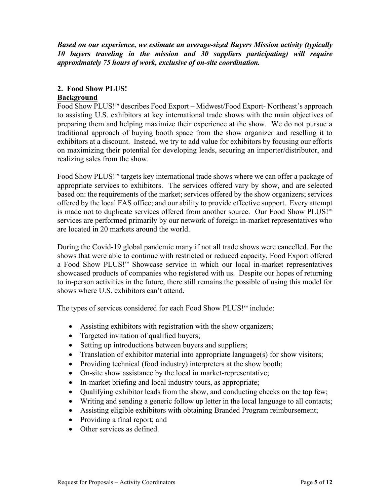*Based on our experience, we estimate an average-sized Buyers Mission activity (typically 10 buyers traveling in the mission and 30 suppliers participating) will require approximately 75 hours of work, exclusive of on-site coordination.*

#### **2. Food Show PLUS!**

#### **Background**

Food Show PLUS!™ describes Food Export – Midwest/Food Export- Northeast's approach to assisting U.S. exhibitors at key international trade shows with the main objectives of preparing them and helping maximize their experience at the show. We do not pursue a traditional approach of buying booth space from the show organizer and reselling it to exhibitors at a discount. Instead, we try to add value for exhibitors by focusing our efforts on maximizing their potential for developing leads, securing an importer/distributor, and realizing sales from the show.

Food Show PLUS!™ targets key international trade shows where we can offer a package of appropriate services to exhibitors. The services offered vary by show, and are selected based on: the requirements of the market; services offered by the show organizers; services offered by the local FAS office; and our ability to provide effective support. Every attempt is made not to duplicate services offered from another source. Our Food Show PLUS!™ services are performed primarily by our network of foreign in-market representatives who are located in 20 markets around the world.

During the Covid-19 global pandemic many if not all trade shows were cancelled. For the shows that were able to continue with restricted or reduced capacity, Food Export offered a Food Show PLUS!™ Showcase service in which our local in-market representatives showcased products of companies who registered with us. Despite our hopes of returning to in-person activities in the future, there still remains the possible of using this model for shows where U.S. exhibitors can't attend.

The types of services considered for each Food Show PLUS!™ include:

- Assisting exhibitors with registration with the show organizers;
- Targeted invitation of qualified buyers;
- Setting up introductions between buyers and suppliers;
- Translation of exhibitor material into appropriate language(s) for show visitors;
- Providing technical (food industry) interpreters at the show booth;
- On-site show assistance by the local in market-representative;
- In-market briefing and local industry tours, as appropriate;
- Qualifying exhibitor leads from the show, and conducting checks on the top few;
- Writing and sending a generic follow up letter in the local language to all contacts;
- Assisting eligible exhibitors with obtaining Branded Program reimbursement;
- Providing a final report; and
- Other services as defined.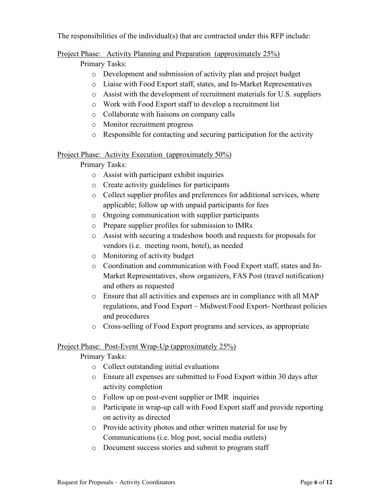The responsibilities of the individual(s) that are contracted under this RFP include:

Project Phase: Activity Planning and Preparation (approximately 25%)

Primary Tasks:

- o Development and submission of activity plan and project budget
- o Liaise with Food Export staff, states, and In-Market Representatives
- o Assist with the development of recruitment materials for U.S. suppliers
- o Work with Food Export staff to develop a recruitment list
- o Collaborate with liaisons on company calls
- o Monitor recruitment progress
- o Responsible for contacting and securing participation for the activity

# Project Phase: Activity Execution (approximately 50%)

# Primary Tasks:

- o Assist with participant exhibit inquiries
- o Create activity guidelines for participants
- o Collect supplier profiles and preferences for additional services, where applicable; follow up with unpaid participants for fees
- o Ongoing communication with supplier participants
- o Prepare supplier profiles for submission to IMRs
- o Assist with securing a tradeshow booth and requests for proposals for vendors (i.e. meeting room, hotel), as needed
- o Monitoring of activity budget
- o Coordination and communication with Food Export staff, states and In-Market Representatives, show organizers, FAS Post (travel notification) and others as requested
- o Ensure that all activities and expenses are in compliance with all MAP regulations, and Food Export – Midwest/Food Export- Northeast policies and procedures
- o Cross-selling of Food Export programs and services, as appropriate

# Project Phase: Post-Event Wrap-Up (approximately 25%)

Primary Tasks:

- o Collect outstanding initial evaluations
- o Ensure all expenses are submitted to Food Export within 30 days after activity completion
- o Follow up on post-event supplier or IMR inquiries
- o Participate in wrap-up call with Food Export staff and provide reporting on activity as directed
- o Provide activity photos and other written material for use by Communications (i.e. blog post, social media outlets)
- o Document success stories and submit to program staff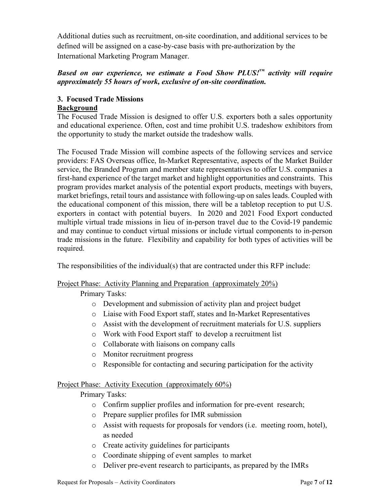Additional duties such as recruitment, on-site coordination, and additional services to be defined will be assigned on a case-by-case basis with pre-authorization by the International Marketing Program Manager.

# *Based on our experience, we estimate a Food Show PLUS!™ activity will require approximately 55 hours of work, exclusive of on-site coordination.*

# **3. Focused Trade Missions Background**

The Focused Trade Mission is designed to offer U.S. exporters both a sales opportunity and educational experience. Often, cost and time prohibit U.S. tradeshow exhibitors from the opportunity to study the market outside the tradeshow walls.

The Focused Trade Mission will combine aspects of the following services and service providers: FAS Overseas office, In-Market Representative, aspects of the Market Builder service, the Branded Program and member state representatives to offer U.S. companies a first-hand experience of the target market and highlight opportunities and constraints. This program provides market analysis of the potential export products, meetings with buyers, market briefings, retail tours and assistance with following-up on sales leads. Coupled with the educational component of this mission, there will be a tabletop reception to put U.S. exporters in contact with potential buyers. In 2020 and 2021 Food Export conducted multiple virtual trade missions in lieu of in-person travel due to the Covid-19 pandemic and may continue to conduct virtual missions or include virtual components to in-person trade missions in the future. Flexibility and capability for both types of activities will be required.

The responsibilities of the individual(s) that are contracted under this RFP include:

# Project Phase: Activity Planning and Preparation (approximately 20%)

Primary Tasks:

- o Development and submission of activity plan and project budget
- o Liaise with Food Export staff, states and In-Market Representatives
- o Assist with the development of recruitment materials for U.S. suppliers
- o Work with Food Export staff to develop a recruitment list
- o Collaborate with liaisons on company calls
- o Monitor recruitment progress
- o Responsible for contacting and securing participation for the activity

# Project Phase: Activity Execution (approximately 60%)

Primary Tasks:

- o Confirm supplier profiles and information for pre-event research;
- o Prepare supplier profiles for IMR submission
- o Assist with requests for proposals for vendors (i.e. meeting room, hotel), as needed
- o Create activity guidelines for participants
- o Coordinate shipping of event samples to market
- o Deliver pre-event research to participants, as prepared by the IMRs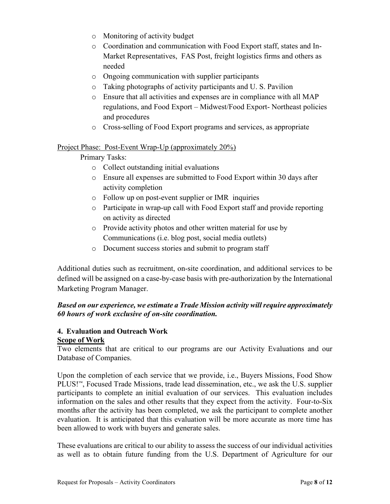- o Monitoring of activity budget
- o Coordination and communication with Food Export staff, states and In-Market Representatives, FAS Post, freight logistics firms and others as needed
- o Ongoing communication with supplier participants
- o Taking photographs of activity participants and U. S. Pavilion
- o Ensure that all activities and expenses are in compliance with all MAP regulations, and Food Export – Midwest/Food Export- Northeast policies and procedures
- o Cross-selling of Food Export programs and services, as appropriate

#### Project Phase: Post-Event Wrap-Up (approximately 20%)

Primary Tasks:

- o Collect outstanding initial evaluations
- o Ensure all expenses are submitted to Food Export within 30 days after activity completion
- o Follow up on post-event supplier or IMR inquiries
- o Participate in wrap-up call with Food Export staff and provide reporting on activity as directed
- o Provide activity photos and other written material for use by Communications (i.e. blog post, social media outlets)
- o Document success stories and submit to program staff

Additional duties such as recruitment, on-site coordination, and additional services to be defined will be assigned on a case-by-case basis with pre-authorization by the International Marketing Program Manager.

# *Based on our experience, we estimate a Trade Mission activity will require approximately 60 hours of work exclusive of on-site coordination.*

#### **4. Evaluation and Outreach Work Scope of Work**

Two elements that are critical to our programs are our Activity Evaluations and our Database of Companies.

Upon the completion of each service that we provide, i.e., Buyers Missions, Food Show PLUS!™, Focused Trade Missions, trade lead dissemination, etc., we ask the U.S. supplier participants to complete an initial evaluation of our services. This evaluation includes information on the sales and other results that they expect from the activity. Four-to-Six months after the activity has been completed, we ask the participant to complete another evaluation. It is anticipated that this evaluation will be more accurate as more time has been allowed to work with buyers and generate sales.

These evaluations are critical to our ability to assess the success of our individual activities as well as to obtain future funding from the U.S. Department of Agriculture for our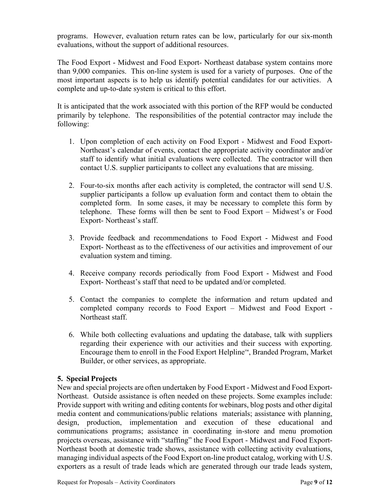programs. However, evaluation return rates can be low, particularly for our six-month evaluations, without the support of additional resources.

The Food Export - Midwest and Food Export- Northeast database system contains more than 9,000 companies. This on-line system is used for a variety of purposes. One of the most important aspects is to help us identify potential candidates for our activities. A complete and up-to-date system is critical to this effort.

It is anticipated that the work associated with this portion of the RFP would be conducted primarily by telephone. The responsibilities of the potential contractor may include the following:

- 1. Upon completion of each activity on Food Export Midwest and Food Export-Northeast's calendar of events, contact the appropriate activity coordinator and/or staff to identify what initial evaluations were collected. The contractor will then contact U.S. supplier participants to collect any evaluations that are missing.
- 2. Four-to-six months after each activity is completed, the contractor will send U.S. supplier participants a follow up evaluation form and contact them to obtain the completed form. In some cases, it may be necessary to complete this form by telephone. These forms will then be sent to Food Export – Midwest's or Food Export- Northeast's staff.
- 3. Provide feedback and recommendations to Food Export Midwest and Food Export- Northeast as to the effectiveness of our activities and improvement of our evaluation system and timing.
- 4. Receive company records periodically from Food Export Midwest and Food Export- Northeast's staff that need to be updated and/or completed.
- 5. Contact the companies to complete the information and return updated and completed company records to Food Export – Midwest and Food Export - Northeast staff.
- 6. While both collecting evaluations and updating the database, talk with suppliers regarding their experience with our activities and their success with exporting. Encourage them to enroll in the Food Export Helpline™, Branded Program, Market Builder, or other services, as appropriate.

# **5. Special Projects**

New and special projects are often undertaken by Food Export - Midwest and Food Export-Northeast. Outside assistance is often needed on these projects. Some examples include: Provide support with writing and editing contents for webinars, blog posts and other digital media content and communications/public relations materials; assistance with planning, design, production, implementation and execution of these educational and communications programs; assistance in coordinating in-store and menu promotion projects overseas, assistance with "staffing" the Food Export - Midwest and Food Export-Northeast booth at domestic trade shows, assistance with collecting activity evaluations, managing individual aspects of the Food Export on-line product catalog, working with U.S. exporters as a result of trade leads which are generated through our trade leads system,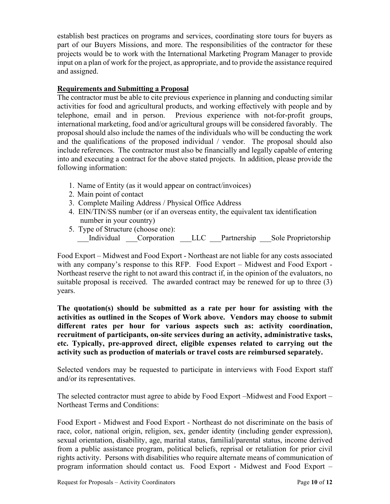establish best practices on programs and services, coordinating store tours for buyers as part of our Buyers Missions, and more. The responsibilities of the contractor for these projects would be to work with the International Marketing Program Manager to provide input on a plan of work for the project, as appropriate, and to provide the assistance required and assigned.

#### **Requirements and Submitting a Proposal**

The contractor must be able to cite previous experience in planning and conducting similar activities for food and agricultural products, and working effectively with people and by telephone, email and in person. Previous experience with not-for-profit groups, international marketing, food and/or agricultural groups will be considered favorably. The proposal should also include the names of the individuals who will be conducting the work and the qualifications of the proposed individual / vendor. The proposal should also include references. The contractor must also be financially and legally capable of entering into and executing a contract for the above stated projects. In addition, please provide the following information:

- 1. Name of Entity (as it would appear on contract/invoices)
- 2. Main point of contact
- 3. Complete Mailing Address / Physical Office Address
- 4. EIN/TIN/SS number (or if an overseas entity, the equivalent tax identification number in your country)
- 5. Type of Structure (choose one): Individual Corporation LLC Partnership Sole Proprietorship

Food Export – Midwest and Food Export - Northeast are not liable for any costs associated with any company's response to this RFP. Food Export – Midwest and Food Export - Northeast reserve the right to not award this contract if, in the opinion of the evaluators, no suitable proposal is received. The awarded contract may be renewed for up to three (3) years.

**The quotation(s) should be submitted as a rate per hour for assisting with the activities as outlined in the Scopes of Work above. Vendors may choose to submit different rates per hour for various aspects such as: activity coordination, recruitment of participants, on-site services during an activity, administrative tasks, etc. Typically, pre-approved direct, eligible expenses related to carrying out the activity such as production of materials or travel costs are reimbursed separately.**

Selected vendors may be requested to participate in interviews with Food Export staff and/or its representatives.

The selected contractor must agree to abide by Food Export –Midwest and Food Export – Northeast Terms and Conditions:

Food Export - Midwest and Food Export - Northeast do not discriminate on the basis of race, color, national origin, religion, sex, gender identity (including gender expression), sexual orientation, disability, age, marital status, familial/parental status, income derived from a public assistance program, political beliefs, reprisal or retaliation for prior civil rights activity. Persons with disabilities who require alternate means of communication of program information should contact us. Food Export - Midwest and Food Export –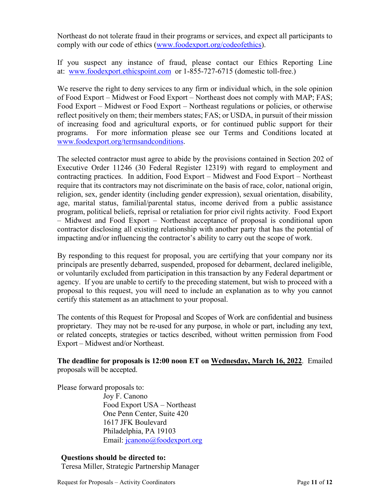Northeast do not tolerate fraud in their programs or services, and expect all participants to comply with our code of ethics [\(www.foodexport.org/codeofethics\)](http://www.foodexport.org/codeofethics).

If you suspect any instance of fraud, please contact our Ethics Reporting Line at: [www.foodexport.ethicspoint.com](http://www.foodexport.ethicspoint.com/) or 1-855-727-6715 (domestic toll-free.)

We reserve the right to deny services to any firm or individual which, in the sole opinion of Food Export – Midwest or Food Export – Northeast does not comply with MAP; FAS; Food Export – Midwest or Food Export – Northeast regulations or policies, or otherwise reflect positively on them; their members states; FAS; or USDA, in pursuit of their mission of increasing food and agricultural exports, or for continued public support for their programs. For more information please see our Terms and Conditions located at [www.foodexport.org/termsandconditions.](http://www.foodexport.org/termsandconditions)

The selected contractor must agree to abide by the provisions contained in Section 202 of Executive Order 11246 (30 Federal Register 12319) with regard to employment and contracting practices. In addition, Food Export – Midwest and Food Export – Northeast require that its contractors may not discriminate on the basis of race, color, national origin, religion, sex, gender identity (including gender expression), sexual orientation, disability, age, marital status, familial/parental status, income derived from a public assistance program, political beliefs, reprisal or retaliation for prior civil rights activity. Food Export – Midwest and Food Export – Northeast acceptance of proposal is conditional upon contractor disclosing all existing relationship with another party that has the potential of impacting and/or influencing the contractor's ability to carry out the scope of work.

By responding to this request for proposal, you are certifying that your company nor its principals are presently debarred, suspended, proposed for debarment, declared ineligible, or voluntarily excluded from participation in this transaction by any Federal department or agency. If you are unable to certify to the preceding statement, but wish to proceed with a proposal to this request, you will need to include an explanation as to why you cannot certify this statement as an attachment to your proposal.

The contents of this Request for Proposal and Scopes of Work are confidential and business proprietary. They may not be re-used for any purpose, in whole or part, including any text, or related concepts, strategies or tactics described, without written permission from Food Export – Midwest and/or Northeast.

**The deadline for proposals is 12:00 noon ET on Wednesday, March 16, 2022**. Emailed proposals will be accepted.

Please forward proposals to:

 Joy F. Canono Food Export USA – Northeast One Penn Center, Suite 420 1617 JFK Boulevard Philadelphia, PA 19103 Email: [jcanono@foodexport.org](mailto:jcanono@foodexport.org)

# **Questions should be directed to:**

Teresa Miller, Strategic Partnership Manager